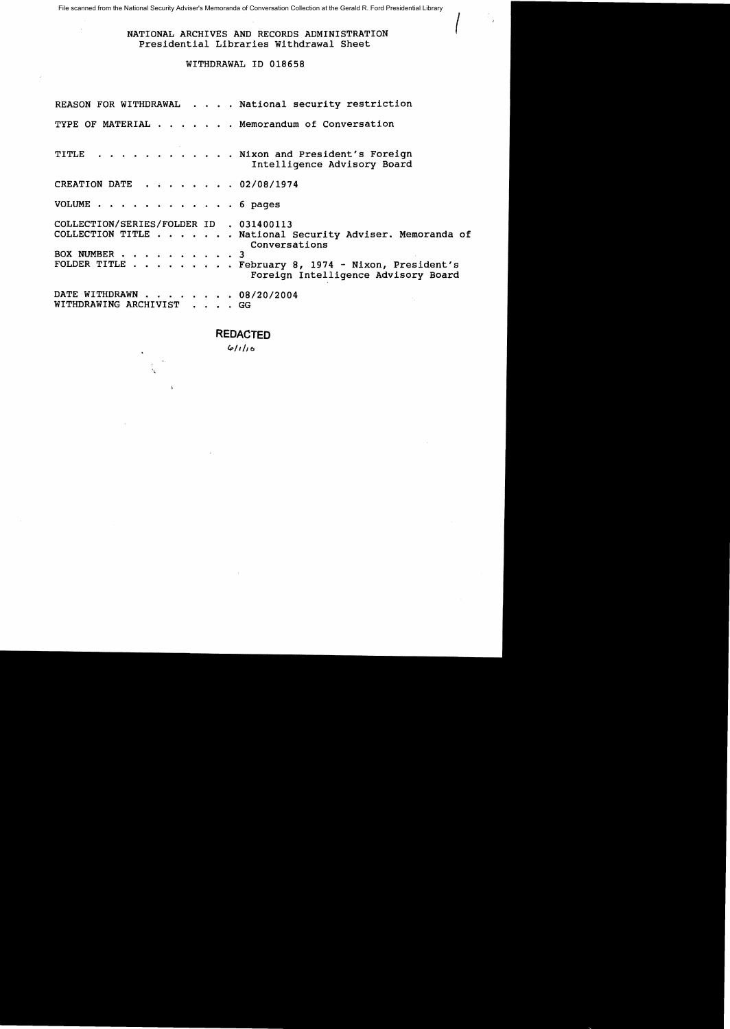File scanned from the National Security Adviser's Memoranda of Conversation Collection at the Gerald R. Ford Presidential Library

# NATIONAL ARCHIVES AND RECORDS ADMINISTRATION Presidential Libraries Withdrawal Sheet

# WITHDRAWAL ID 018658

|                                                             |  | REASON FOR WITHDRAWAL National security restriction                                                                                                                    |
|-------------------------------------------------------------|--|------------------------------------------------------------------------------------------------------------------------------------------------------------------------|
|                                                             |  | TYPE OF MATERIAL Memorandum of Conversation                                                                                                                            |
|                                                             |  | TITLE Nixon and President's Foreign<br>Intelligence Advisory Board                                                                                                     |
| CREATION DATE 02/08/1974                                    |  |                                                                                                                                                                        |
| VOLUME $\cdots$ $\cdots$ $\cdots$ $\cdots$ $\cdots$ 6 pages |  |                                                                                                                                                                        |
| COLLECTION/SERIES/FOLDER ID . 031400113<br>BOX NUMBER 3     |  | COLLECTION TITLE National Security Adviser. Memoranda of<br>Conversations<br>FOLDER TITLE February 8, 1974 - Nixon, President's<br>Foreign Intelligence Advisory Board |
| DATE WITHDRAWN 08/20/2004<br>WITHDRAWING ARCHIVIST GG       |  |                                                                                                                                                                        |

# **REDACTED**

*{P1,he,* 

 $\mathbf{r}$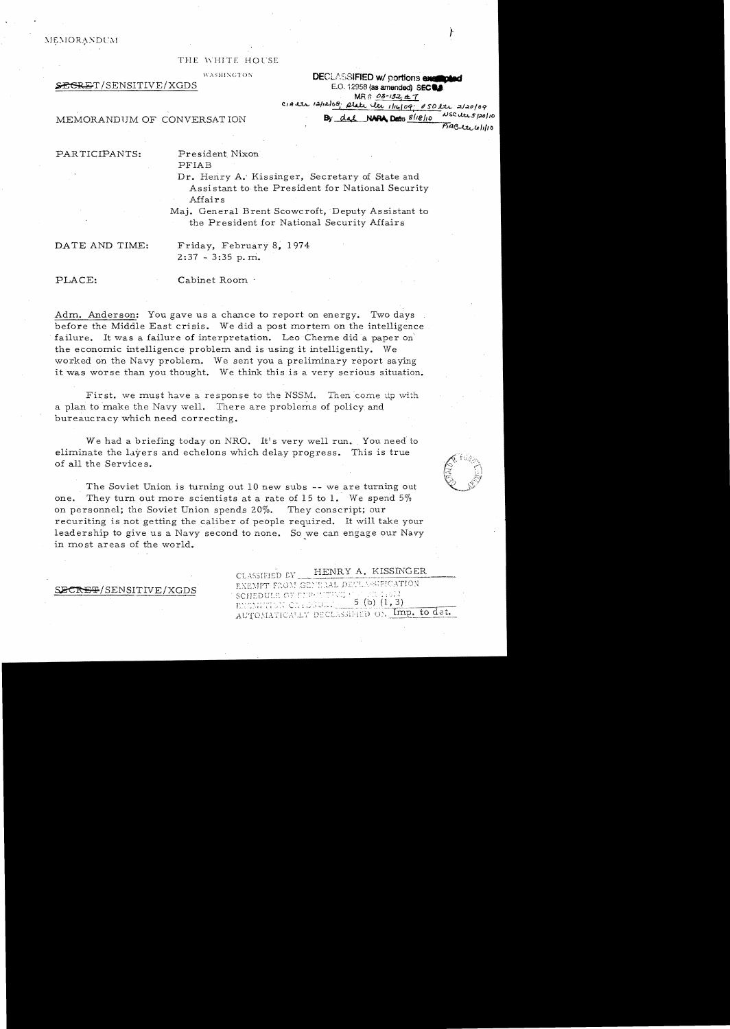$MEMORANDUM$ 

#### THE WHITE HOUSE

<sup>WASHINGTON</sup><br>**DECLASSIFIED w/ portions englipted**<br>E.O. 12958 (as amended) SECUL<br>MR #  $\frac{\partial S \rightarrow \partial Z_1 \pm T}{\partial Z_2}$ E.O. 12958 (as amended) SEC<sup>®</sup>. C./~-UA., 1.;J.11:Llo~. £ *1/I4>jOq; ()SDJ..::tA., .:1./«Q/09* 

MEMORANDUM OF CONVERSATION By dat **NARA, Dat**e 8/18/10 NSCuris/20/10

PARTICIPANTS:

President Nixon

PFIAB

Dr. Henry A.' Kissinger, Secretary of State and Assistant to the President for National Security Affairs

Maj. General Brent Scowcroft, Deputy Assistant to the President for National Security Affairs

DATE AND TIME:

Friday, February 8, 1974  $2:37 - 3:35$  p.m.

## PLACE:

#### Cabinet Room .

Adm. Anderson: You gave us a chance to report on energy. Two days before the Middle East crisis. We did a post mortem on the intelligence failure. It was a failure of interpretation. Leo Cherne did a paper on the economic intelligence problem and is using it intelligently. We worked on the Navy problem. We sent you a preliminary report saying it was worse than you thought. We think this is a very serious situation.

First, we must have a response to the NSSM. Then come up with a plan to make the Navy well. There are problems of policy and bureaucracy which need correcting.

We had a briefing today on NRO. It's very well run. You need to eliminate the layers and echelons which delay progress. This is true of all the Services.

The Soviet Union is turning out 10 new subs -- we are turning out one. They turn out more scientists at a rate of 15 to 1. We spend 5% on personnel; the Soviet Union spends 20%. They conscript; our recuriting is not getting the caliber of people required. It will take your leadership to give us a Navy second to none. So we can engage our Navy in most areas of the world.

## SECRET/SENSITIVE/XGDS

CLASSIFIED FY \_\_\_\_HENRY A. KISSINGER

EXEMPT FROM GENEAAL DECLASSIFICATION SCHEDULE OF FURNI 5 (b)  $(1, 3)$ ENGMETION CITEESORY AUTOMATICALLY DECLASSIFIED ON Imp. to det.



 $P$  $I$  $B$  $t$  $t$  $t$  $t$  $t$  $t$  $t$  $t$  $t$  $t$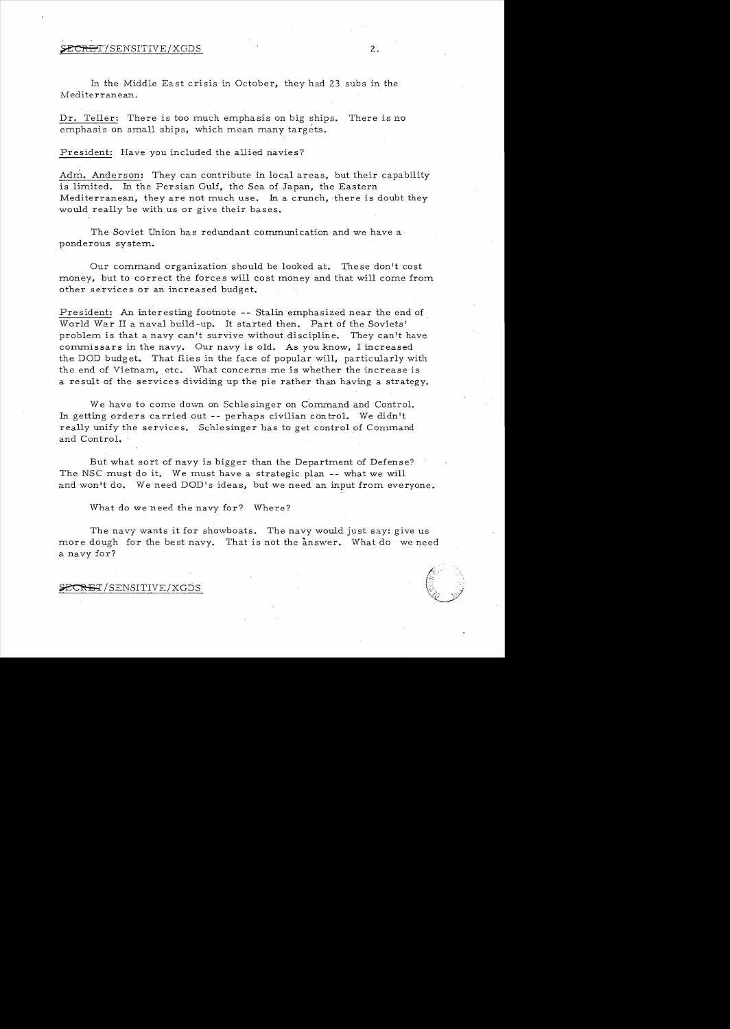#### $\tt SECREF/SENSITIVE/XGDS$  2.

In the Middle East crisis in October, they had 23 subs in the Mediterranean.

Dr. Teller: There is too much emphasis on big ships. There is no emphasis on small ships, which mean many targets.

President: Have you included the allied navies?

Adm. Anderson: They can contribute in local areas, but their capability is limited. In the Persian Gulf, the Sea of Japan, the Eastern Mediterranean, they are not much use. In a crunch, there is doubt they would really be with us or give their bases.

The Soviet Union has redundant communication and we have a ponderous system.

Our command organization should be looked at. These don't cost money, but to correct the forces will cost money and that will come from other services or an increased budget.

President: An interesting footnote -- Stalin emphasized near the end of. World War II a naval build -up. It started then. Part of the Soviets' problem is that a navy can't survive without discipline. They can't have commissars in the navy. Our navy is old. As you know, I increased the DOD budget. That flies in the face of popular will, particularly with the end of Vietnam, etc. What concerns me is whether the increase is a result of the services dividing up the pie rather than having a strategy.

We have to come down on Schlesinger on Command and Control. In getting orders carried out **--** perhaps civilian con trol. We didn't really unify the services. Schlesinger has to get control of Command and Control.

But what sort of navy is bigger than the Department of Defense? The NSC must do it. We must have a strategic plan -- what we will and won't do. We need DOD's ideas, but we need an input from everyone.

What do we need the navy for? Where?

The navy wants it for showboats. The navy would just say: give us more dough for the best navy. That is not the answer. What do we need a navy for?

SECRET/SENSITIVE/XGDS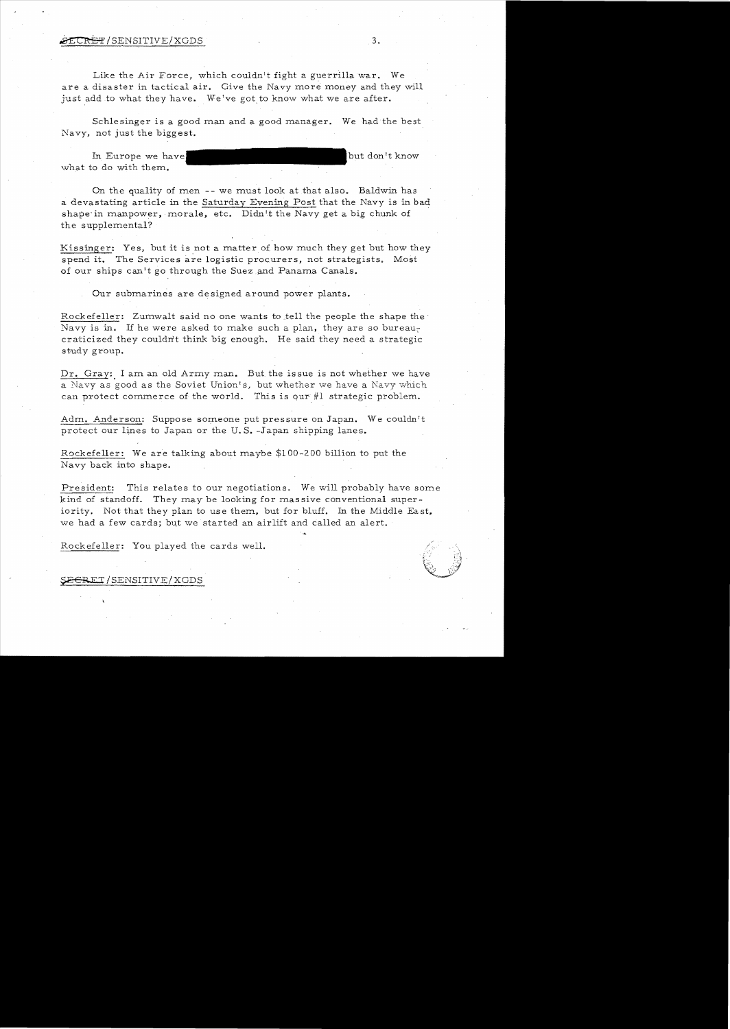#### $\overline{\text{SECRBF}}$ /SENSITIVE/XGDS  $3.$

Like the Air Force, which couldn't fight a guerrilla war. We are a disaster in tactical air. Give the Navy more money and they will just add to what they have. We've got to know what we are after.

Schlesinger is a good man and a good manager. We had the best Navy, not just the biggest.

In Europe we have but don't know what to do with them.

On the quality of men -- we must look at that also. Baldwin has a devastating article in the Saturday Evening Post that the Navy is in bad shape in manpower, morale, etc. Didn't the Navy get a big chunk of the supplemental?

Kissinger: Yes, but it is not a matter of how much they get but how they spend it. The Services are logistic procurers, not strategists. Most of our ships can't go through the Suez and Panama Canals.

Our submarines are de signed around power plants.

Rockefeller: Zumwalt said no one wants to tell the people the shape the Navy is in. If he were asked to make such a plan, they are so bureaucraticized they couldn't think big enough. He said they need a strategic study group.

Dr. Gray: I am an old Army man. But the issue is not whether we have a Navy as good as the Soviet Union's, but whether we have a Navy which can protect commerce of the world. This is our #1 strategic problem.

Adm. Anderson: Suppose someone put pressure on Japan. We couldn't protect our lines to Japan or the U. S. -Japan shipping lanes.

Rockefeller: We are talking about maybe \$100-200 billion to put the Navy back into shape.

President: This relates to our negotiations. We will probably have some kind of standoff. They may be looking for massive conventional superiority. Not that they plan to use them, but for bluff. In the Middle East, we had a few cards; but we started an airlift and called an alert.

Rockefeller: You played the cards well.

SECRET/SENSITIVE/XGDS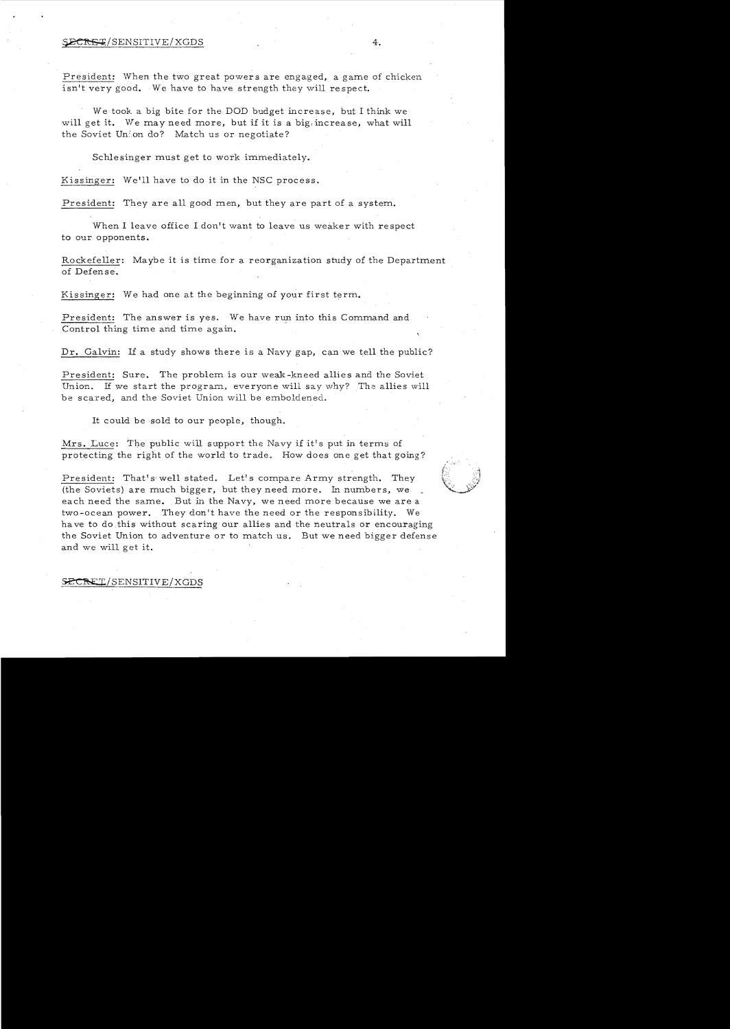# SECRET/SENSITIVE/XGDS 4.

President: When the two great powers are engaged, a game of chicken isn't very good. We have to have strength they will respect.

We took a big bite for the DOD budget increase, but I think we will get it. We may need more, but if it is a big, increase, what will the Soviet Union do? Match us or negotiate?

Schlesinger must get to work immediately.

We'll have to do it in the NSC process.

President: They are all good men, but they are part of a system.

When I leave office I don't want to leave us weaker with respect to our opponents.

Rockefeller: Maybe it is time for a reorganization study of the Department of Defense.

Kissinger: We had one at the beginning of your first term.

President: The answer is yes. We have run into this Command and Control thing time and time again.

Dr. Galvin: If a study shows there is a Navy gap, can we tell the public?

President: Sure. The problem is our weak-kneed allies and the Soviet Union. If we start the program, everyone will say why? The allies will be scared, and the Soviet Union will be emboldened.

It could be sold to our people, though.

protecting the right of the world to trade. How does one get that going? Mrs. Luce: The public will support the Navy if it's put in terms of

President: That's well stated. Let's compare Army strength. They (the Soviets) are much bigger, but they need more. In numbers, we each need the same. But in the Navy, we need more because we are a two-ocean power. They don't have the need or the responsibility. We have to do this without scaring our allies and the neutrals or encouraging the Soviet Union to adventure or to match us. But we need bigger defense and we will get it.

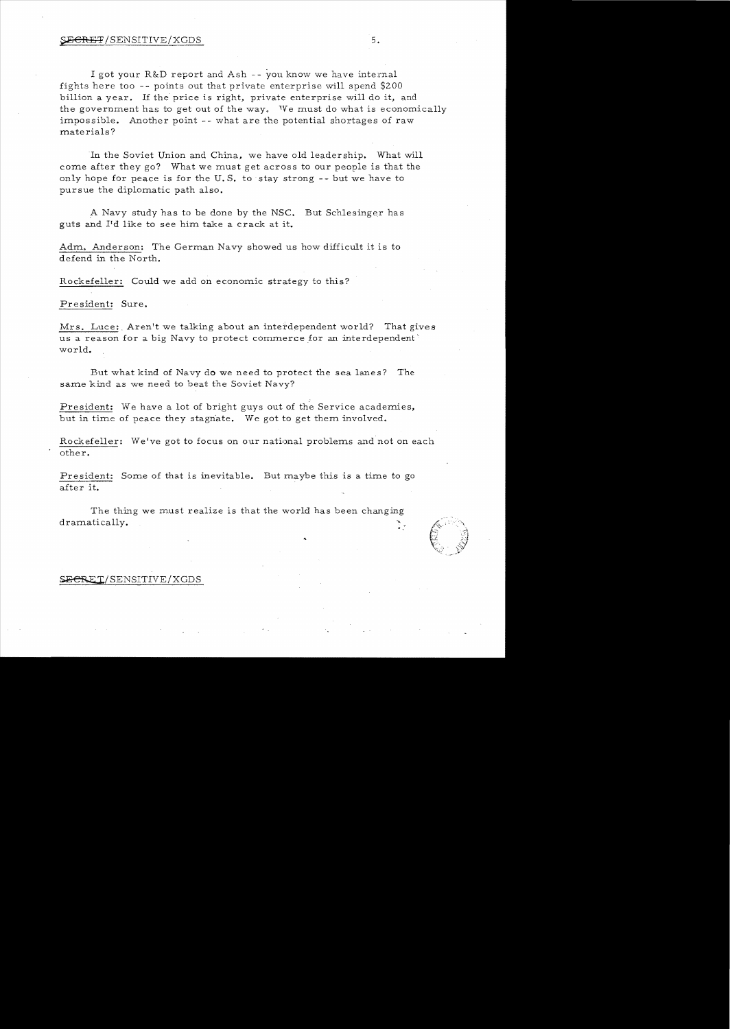## $\Sigma$  ECRET/SENSITIVE/XGDS 5.

I got your R&D report and Ash -- you know we have internal fights here too -- points out that private enterprise will spend \$200 billion a year. If the price is right, private enterprise will do it, and the government has to get out of the way. 'Ye must do what is economically impossible. Another point -- what are the potential shortages of raw mate rials?

In the Soviet Union and China, we have old leadership. What will come after they go? What we must get across to our people is that the only hope for peace is for the U.S. to stay strong  $-$ - but we have to pursue the diplomatic path also.

A Navy study has to be done by the NSC. But Schlesinger has guts and Pd like to see him take a crack at it.

Adm. Anderson: The German Navy showed us how difficult it is to defend in the North.

Rockefeller: Could we add on economic strategy to this?

President: Sure.

Mrs. Luce: Aren't we talking about an interdependent world? That gives<br>us a reason for a big Navy to protect commerce for an interdependent us a reason for a big Navy to protect commerce for an interdependent world.

But what kind of Navy do we need to protect the sea lanes? The same kind as we need to beat the Soviet Navy?

President: We have a lot of bright guys out of the Service academies, but in time of peace they stagnate. We got to get them involved.

Rockefeller: We've got to focus on our national problems and not on each other.

after it. President: Some of that is inevitable. But maybe this is a time to go

The thing we must realize is that the world has been changing dramatically. <u>ን</u> -



# S<del>ECRE</del>T/SENSITIVE/XGDS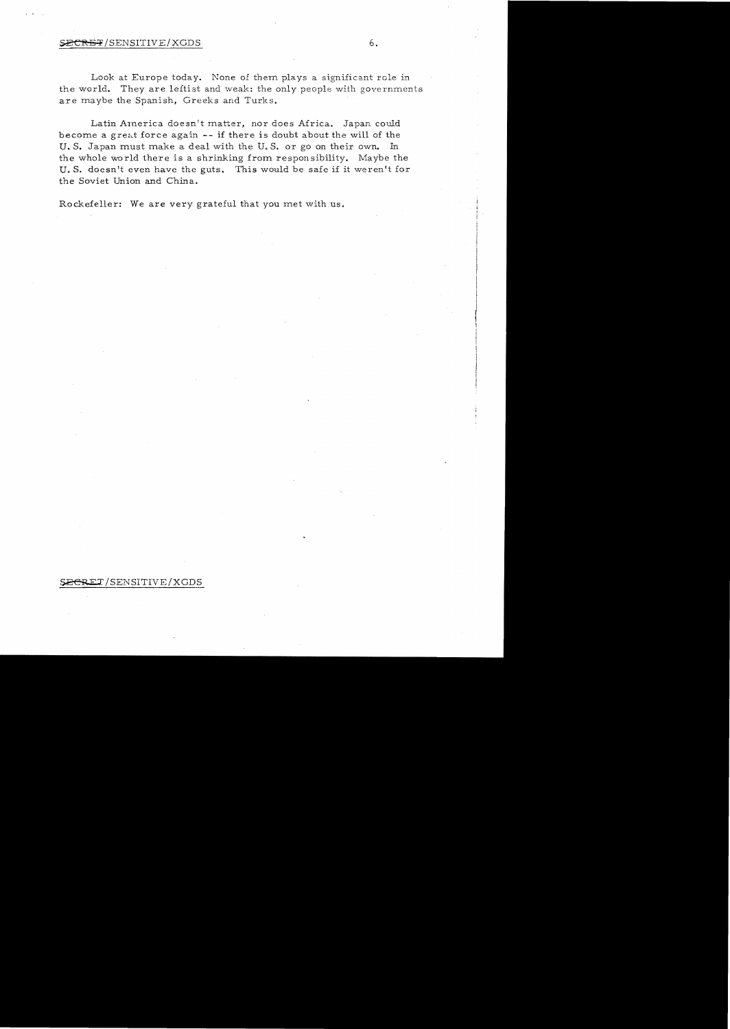## $\texttt{F} / \texttt{SENSITIVE} / \texttt{XGDS}$  6.

Look at Europe today. None of them plays a significant role in the world. They are leftist and weak: the only people with governments are maybe the Spanish, Greeks and Turks.

Latin America doesn't matter, nor does Africa. Japan could become a great force again -- if there is doubt about the will of the U. S. Japan must make a deal with the U.S. or go on their own. In the whole world there is a shrinking from responsibility. Maybe the U.S. doesn't even have the guts. This would be safe if it weren't for the Soviet Union and China.

Rockefeller: We are very grateful that you met with us.

## SECRET/SENSITIVE/XGDS